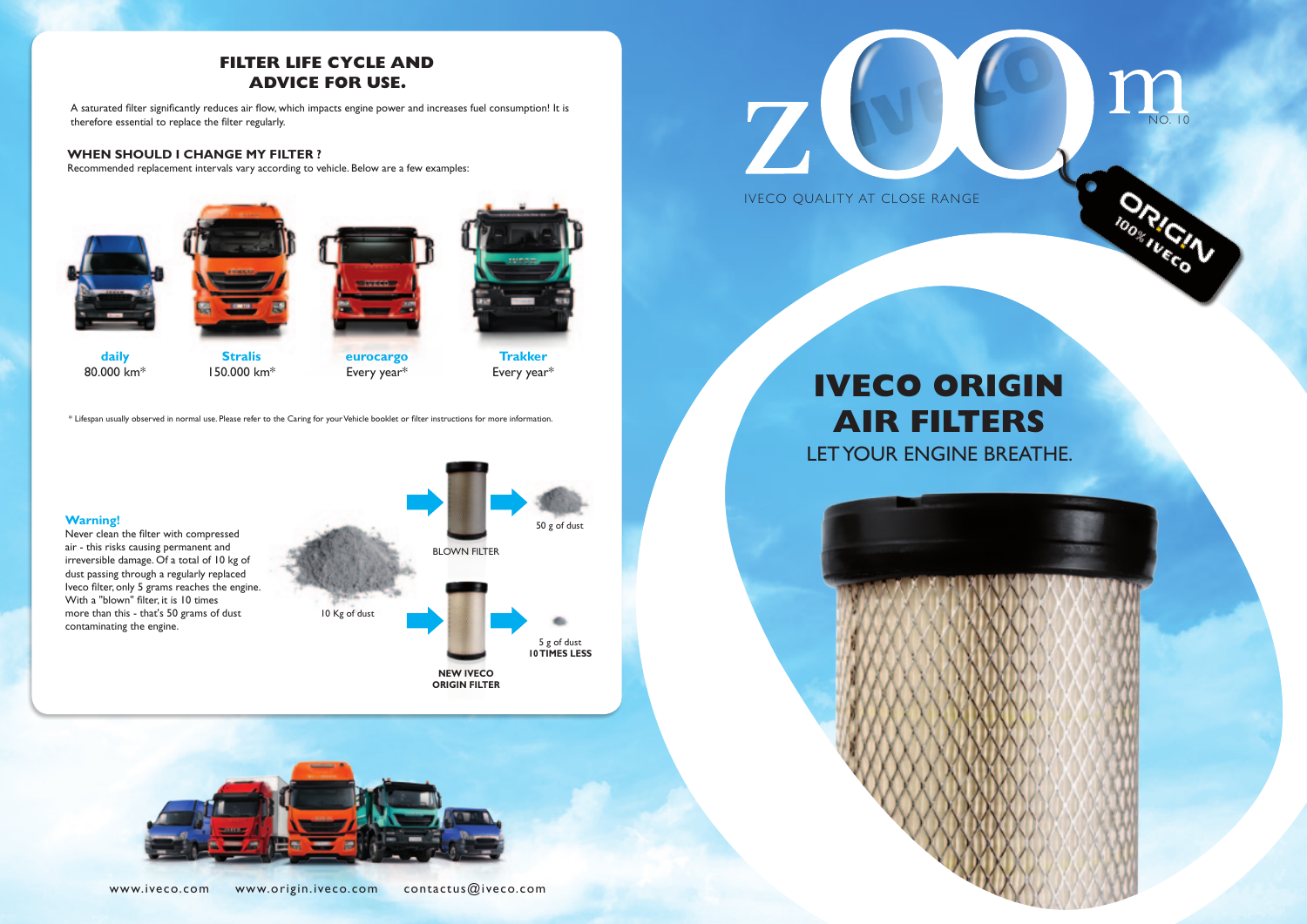www.iveco.com www.origin.iveco.com contactus@iveco.com





## **FILTER LIFE CYCLE AND ADVICE FOR USE.**

# **IVECO ORIGIN AIR FILTERS** LET YOUR ENGINE BREATHE.

A saturated filter significantly reduces air flow, which impacts engine power and increases fuel consumption! It is therefore essential to replace the filter regularly.

### **WHEN SHOULD I CHANGE MY FILTER ?**

Recommended replacement intervals vary according to vehicle. Below are a few examples:



\* Lifespan usually observed in normal use. Please refer to the Caring for your Vehicle booklet or filter instructions for more information.





ORIGI

**daily**  80.000 km\*



**eurocargo**  Every year\*

**Trakker**  Every year\*